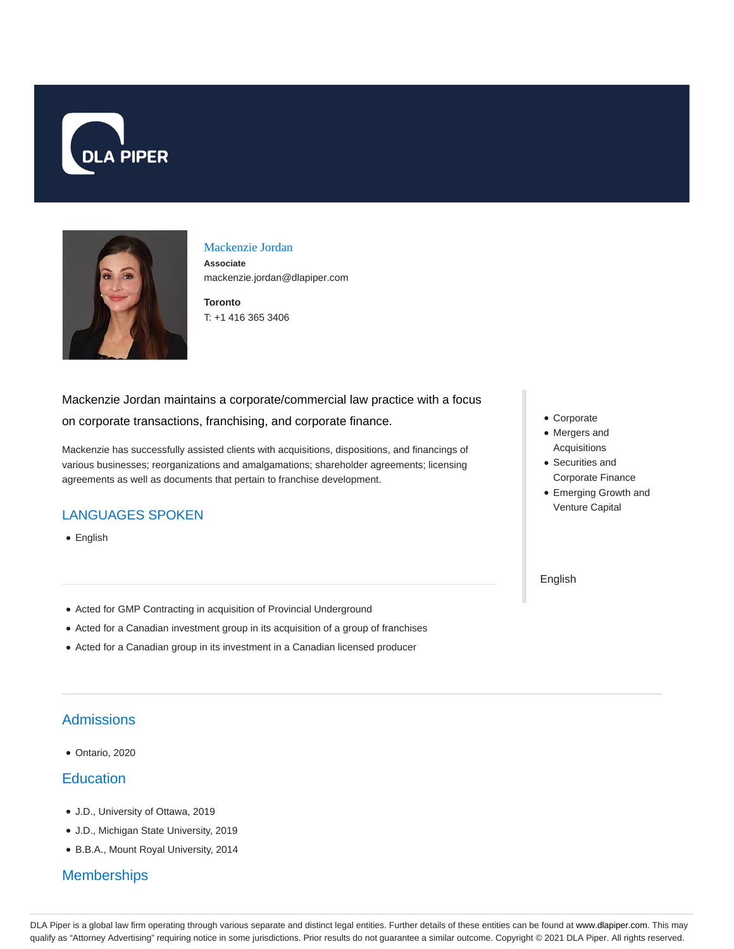



### Mackenzie Jordan

**Associate** mackenzie.jordan@dlapiper.com

**Toronto** T: +1 416 365 3406

# Mackenzie Jordan maintains a corporate/commercial law practice with a focus on corporate transactions, franchising, and corporate finance.

Mackenzie has successfully assisted clients with acquisitions, dispositions, and financings of various businesses; reorganizations and amalgamations; shareholder agreements; licensing agreements as well as documents that pertain to franchise development.

## LANGUAGES SPOKEN

• English

• Mergers and

Corporate

- Acquisitions Securities and
- Corporate Finance
- Emerging Growth and Venture Capital

English

- Acted for GMP Contracting in acquisition of Provincial Underground
- Acted for a Canadian investment group in its acquisition of a group of franchises
- Acted for a Canadian group in its investment in a Canadian licensed producer

# Admissions

Ontario, 2020

### **Education**

- J.D., University of Ottawa, 2019
- J.D., Michigan State University, 2019
- B.B.A., Mount Royal University, 2014

# **Memberships**

DLA Piper is a global law firm operating through various separate and distinct legal entities. Further details of these entities can be found at www.dlapiper.com. This may qualify as "Attorney Advertising" requiring notice in some jurisdictions. Prior results do not guarantee a similar outcome. Copyright © 2021 DLA Piper. All rights reserved.